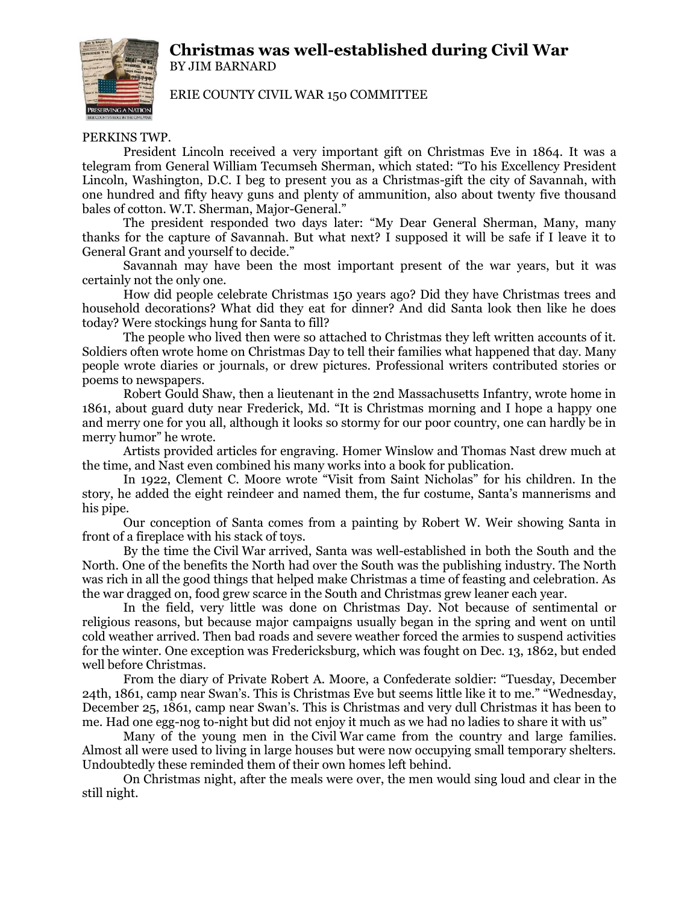## **Christmas was well-established during Civil War** BY JIM BARNARD



ERIE COUNTY CIVIL WAR 150 COMMITTEE

## PERKINS TWP.

President Lincoln received a very important gift on Christmas Eve in 1864. It was a telegram from General William Tecumseh Sherman, which stated: "To his Excellency President Lincoln, Washington, D.C. I beg to present you as a Christmas-gift the city of Savannah, with one hundred and fifty heavy guns and plenty of ammunition, also about twenty five thousand bales of cotton. W.T. Sherman, Major-General."

The president responded two days later: "My Dear General Sherman, Many, many thanks for the capture of Savannah. But what next? I supposed it will be safe if I leave it to General Grant and yourself to decide."

Savannah may have been the most important present of the war years, but it was certainly not the only one.

How did people celebrate Christmas 150 years ago? Did they have Christmas trees and household decorations? What did they eat for dinner? And did Santa look then like he does today? Were stockings hung for Santa to fill?

The people who lived then were so attached to Christmas they left written accounts of it. Soldiers often wrote home on Christmas Day to tell their families what happened that day. Many people wrote diaries or journals, or drew pictures. Professional writers contributed stories or poems to newspapers.

Robert Gould Shaw, then a lieutenant in the 2nd Massachusetts Infantry, wrote home in 1861, about guard duty near Frederick, Md. "It is Christmas morning and I hope a happy one and merry one for you all, although it looks so stormy for our poor country, one can hardly be in merry humor" he wrote.

Artists provided articles for engraving. Homer Winslow and Thomas Nast drew much at the time, and Nast even combined his many works into a book for publication.

In 1922, Clement C. Moore wrote "Visit from Saint Nicholas" for his children. In the story, he added the eight reindeer and named them, the fur costume, Santa's mannerisms and his pipe.

Our conception of Santa comes from a painting by Robert W. Weir showing Santa in front of a fireplace with his stack of toys.

By the time the Civil War arrived, Santa was well-established in both the South and the North. One of the benefits the North had over the South was the publishing industry. The North was rich in all the good things that helped make Christmas a time of feasting and celebration. As the war dragged on, food grew scarce in the South and Christmas grew leaner each year.

In the field, very little was done on Christmas Day. Not because of sentimental or religious reasons, but because major campaigns usually began in the spring and went on until cold weather arrived. Then bad roads and severe weather forced the armies to suspend activities for the winter. One exception was Fredericksburg, which was fought on Dec. 13, 1862, but ended well before Christmas.

From the diary of Private Robert A. Moore, a Confederate soldier: "Tuesday, December 24th, 1861, camp near Swan's. This is Christmas Eve but seems little like it to me." "Wednesday, December 25, 1861, camp near Swan's. This is Christmas and very dull Christmas it has been to me. Had one egg-nog to-night but did not enjoy it much as we had no ladies to share it with us"

Many of the young men in the Civil War came from the country and large families. Almost all were used to living in large houses but were now occupying small temporary shelters. Undoubtedly these reminded them of their own homes left behind.

On Christmas night, after the meals were over, the men would sing loud and clear in the still night.